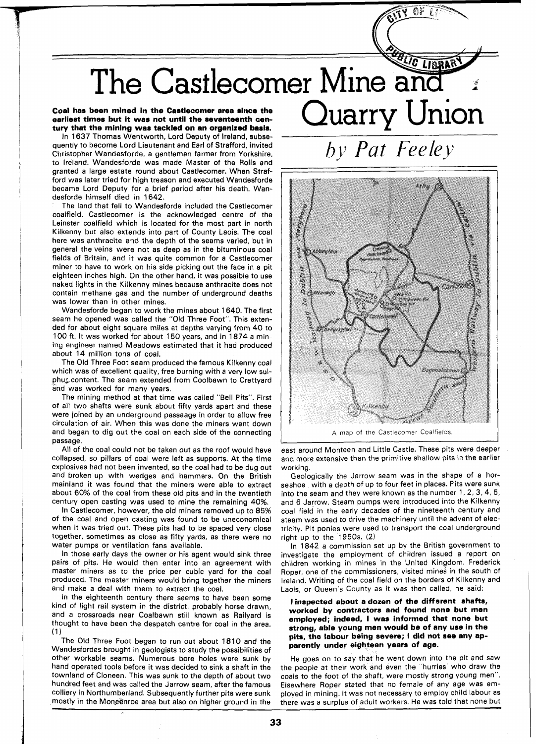# LIBRAR The Castlecomer Mine and Quarry Union

## **Coal has been mined in the Castlecomer area since the earliest times but it was not until the seventeenth century that the mining was tackled on an organized basis.**

In 1637 Thomas Wentworth, Lord Deputy of Ireland, subsequently to become Lord Lieutenant and Earl of Strafford, invited Christopher Wandesforde, a gentleman farmer from Yorkshire, to Ireland. Wandesforde was made Master of the Rolls and granted a large estate round about Castlecomer. When Strafford was later tried for high treason and executed Wandesforde became Lord Deputy for a brief period after his death. Wandesforde himself died in 1642.

The land that fell to Wandesforde included the Castlecomer coalfield. Castlecomer is the acknowledged centre of the Leinster coalfield which is located for the most part in north Kilkenny but also extends into part of County Laois. The coal here was anthracite and the depth of the seams varied, but in general the veins were not as deep as in the bituminous coal fields of Britain, and it was quite common for a Castlecomer miner to have to work on his side picking out the face in a pit eighteen inches high. On the other hand, it was possible to use naked lights in the Kilkenny mines because anthracite does not contain methane gas and the number of underground deaths was lower than in other mines.

Wandesforde began to work the mines about 1640. The first seam he opened was called the "Old Three Foot". This extended for about eight square miles at depths varying from 40 to 100 ft. It was worked for about 150 years, and in 1874 a mining engineer named Meadows estimated that it had produced about 14 million tons of coal.

The Old Three Foot seam produced the famous Kilkenny coal which was of excellent quality, free burning with a very low sulphur content. The seam extended from Coolbawn to Crettyard and was worked for many years.

The mining method at that time was called "Bell Pits". First of all two shafts were sunk about fifty yards apart and these were joined by an underground passaage in order to allow free circulation of air. When this was done the miners went down and began to dig out the coal on each side of the connecting passage.

All of the coal could not be taken out as the roof would have collapsed, so pillars of coal were left as supports. At the time explosives had not been invented, so the coal had to be dug out and broken up with wedges and hammers. On the British mainland it was found that the miners were able to extract about 60% of the coal from these old pits and in the twentieth century open casting was used to mine the remaining 40%.

In Castlecomer, however, the old miners removed up to 85% of the coal and open casting was found to be uneconomical when it was tried out. These pits had to be spaced very close together, sometimes as close as fifty yards, as there were no water pumps or ventilation fans available.

In those early days the owner or his agent would sink three pairs of pits. He would then enter into an agreement with master miners as to the price per cubic yard for the coal produced. The master miners would bring together the miners and make a deal with them to extract the coal.

In the eighteenth century there seems to have been some kind of light rail system in the district, probably horse drawn, and a crossroads near Coalbawn still known as Railyard is thought to have been the despatch centre for coal in the area. **(1** 

The Old Three Foot began to run out about 1810 and the Wandesfordes brought in geologists to study the possibilities of other workable seams. Numerous bore holes were sunk by hand operated tools before it was decided to sink a shaft in the townland of Cloneen. This was sunk to the depth of about two hundred feet and was called the Jarrow seam, after the famous colliery in Northumberland. Subsequently further pits were sunk mostly in the Moneenroe area but also on higher ground in the

*by Pat Feeley* 

CF



A map of the Castlecomer Coalfields.

east around Monteen and Little Castle. These pits were deeper and more extensive than the primitive shallow pits in the earlier working.

Geologically the Jarrow seam was in the shape of a horseshoe with a depth of up to four feet in places. Pits were sunk into the seam and they were known as the number 1,2, **3,4,** 5, and 6 Jarrow. Steam pumps were introduced into the Kilkenny coal field in the early decades of the nineteenth century and steam was used to drive the machinery until the advent of electricity. Pit ponies were used to transport the coal underground right up to the 1950s. (2)

In 1842 a commission set up by the British government to investigate the employment of children issued a report on children working in mines in the United Kingdom. Frederick Roper, one of the commissioners, visited mines in the south of Ireland. Writing of the coal field on the borders of Kilkenny and Laois, or Queen's County as it was then called, he said:

## **I inspected about a dozen of the different shafts, worked by contractors and found none but men employed; indeed, I was informed that none but strong, able young men would be of any use in the pits, the labour being severe; I did not see any apparently under eighteen years of age.**

He goes on to say that he went down into the pit and saw the people at their work and even the "hurries' who draw the coals to the foot of the shaft, were mostly strong young men". Elsewhere Roper stated that no female of any age was employed in mining. It was not necessary to employ child labour as there was a surplus of adult workers. He was told that none but

L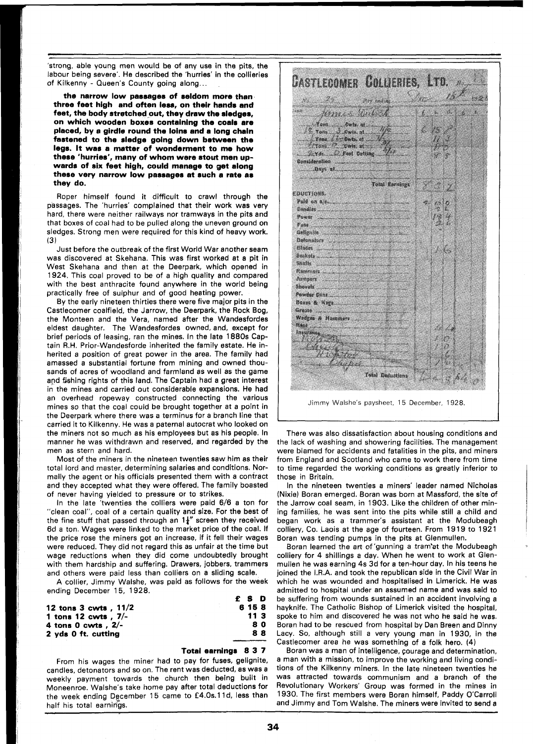'strong, able young men would be of any use in the pits, the labour being severe'. He described the 'hurries' in the collieries of Kilkenny - Queen's County going along.. .

**the narrow low passages of seldom more than three feet high and often less, on their hands and feet, the body stretched out, they drew the sledges, on which wooden boxes containing the coals ere placed, by a girdle round the loins and a long chain fastened to the sledge going down between the legs. It was a matter of wonderment to me how these 'hurries', many of whom were stout men upwards of six feet high, could manage to get along these very narrow low passages at such a rate as they do.** 

Roper himself found it difficult to crawl through the passages. The 'hurries' complained that their work was very hard, there were neither railways nor tramways in the pits and that boxes of coal had to be pulled along the uneven ground on sledges. Strong men were required for this kind of heavy work. **(3)** 

Just before the outbreak of the first World War another seam was discovered at Skehana. This was first worked at a pit in West Skehana and then at the Deerpark, which opened in 1924. This coal proved to be of a high quality and compared with the best anthracite found anywhere in the world being practically free of sulphur and of good heating power.

By the early nineteen thirties there were five major pits in the Castlecomer coalfield, the Jarrow, the Deerpark, the Rock Bog, the Monteen and the Vera, named after the Wandesfordes eldest daughter. The Wandesfordes owned, and, except for brief periods of leasing, ran the mines. In the late 1880s Captain R.H. Prior-Wandesforde inherited the family estate. He inherited a position of great power in the area. The family had amassed a substantial fortune from mining and owned thousands of acres of woodland and farmland as well as the game apd fishing rights of this land. The Captain had a great interest in the mines and carried out considerable expansions. He had an overhead ropeway constructed connecting the various mines so that the coal could be brought together at a point in the Deerpark where there was a terminus for a branch line that carried it to Kilkenny. He was a paternal autocrat who looked on the miners not so much as his employees but as his people. In manner he was withdrawn and reserved, and regarded by the men as stern and hard.

Most of the miners in the nineteen twenties saw him as their total lord and master, determining salaries and conditions. Normally the agent or his officials presented them with a contract and they accepted what they were offered. The family boasted of never having yielded to pressure or to strikes.

In the late 'twenties the colliers were paid 6/6 a ton for "clean coal", coal of a certain quality and size. For the best of the fine stuff that passed through an  $1\frac{1}{4}$ " screen they received 6d a ton. Wages were linked to the market price of the coal. If the price rose the miners got an increase, if it fell their wages were reduced. They did not regard this as unfair at the time but wage reductions when they did come undoubtedly brought with them hardship and suffering. Drawers, jobbers, trammers and others were paid less than colliers on a sliding scale.

A collier, Jimmy Walshe, was paid as follows for the week ending December 15, 1928.

|                           | f S D           |
|---------------------------|-----------------|
| 12 tons $3$ cwts $. 11/2$ | 6 15 8          |
| 1 tons 12 cwts $, 7/-$    | 11 <sub>3</sub> |
| 4 tons 0 cwts , $2/-$     | 80              |
| 2 vds 0 ft. cutting       | 88              |
|                           |                 |

### **Total earnings 8 3 7**

From his wages the miner had to pay for fuses, gelignite, candles, detonators and so on. The rent was deducted, as was a weekly payment towards the church then being built in Moneenroe. Walshe's take home pay after total deductions for the week ending December 15 came to £4.0s.11d, less than half his total earnings.



Jimmy Walshe's paysheet, 15 December, 1928.

There was also dissatisfaction about housing conditions and the lack of washing and showering facilities. The management were blamed for accidents and fatalities in the pits, and miners from England and Scotland who came to work there from time to time regarded the working conditions as greatly inferior to those in Britain.

In the nineteen twenties a miners' leader named Nicholas (Nixie) Boran emerged. Boran was born at Massford, the site of the Jarrow coal seam, in 1903. Like the children of other mining families, he was sent into the pits while still a child and began work as a trammer's assistant at the Modubeagh colliery, Co. Laois at the age of fourteen. From  $1919$  to  $1921$ Boran was tending pumps in the pits at Glenmullen.

Boran learned the art of 'gunning a tram'at the Modubeagh colliery for 4 shillings a day. When he went to work at Glenmullen he was earning 4s 3d for a ten-hour day. In his teens he joined the I.R.A. and took the republican side in the Civil War in which he was wounded and hospitalised in Limerick. He was admitted to hospital under an assumed name and was said to be suffering from wounds sustained in an accident involving a hayknife. The Catholic Bishop of Limerick visited the hospital, spoke to him and discovered he was not who he said he was. Boran had to be rescued from hospital by Dan Breen and Dinny Lacy. So, although still a very young man in 1930, in the Castlecomer area he was something of a folk hero. (4)

Boran was a man of intelligence, Courage and determination, a man with a mission, to improve the working and living conditions of the Kilkenny miners. In the late nineteen twenties he was attracted towards communism and a branch of the Revolutionary Workers' Group was formed in the mines in 1930. The first members were Boran himself, Paddy O'Carroll and Jimmy and Tom Walshe. The miners were invited to send a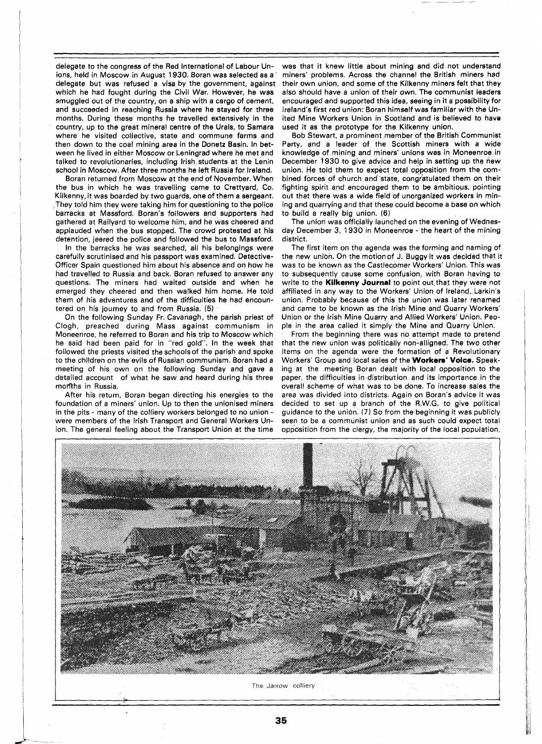delegate to the congress of the Red International of Labour Unions, held in Moscow in August 1930. Boran was selected as a delegate but was refused a visa by the government, against which he had fought during the Civil War. However, he was smuggled out of the country, on a ship with a cargo of cement, and succeeded in reaching Russia where he stayed for three months. During these months he travelled extensively in the country, up to the great mineral centre of the Urals, to Samara where he visited collective, state and commune farms and then down to the coal mining area in the Donetz Basin. In between he lived in either Moscow or Leningrad where he met and talked to revolutionaries, including Irish students at the Lenin school in Moscow. After three months he left Russia for Ireland.

Boran returned from Moscow at the end of November. When the bus in which he was travelling came to Crettyard, Co. Kilkenny,it was boarded by two guards, one of them a sergeant. They told him they were taking him for questioning to the police barracks at Massford. Boran's followers and supporters had gathered at Railyard to welcome him, and he was cheered and applauded when the bus stopped. The crowd protested at his detention, jeered the police and followed the bus to Massford.

In the barracks he was searched, all his belongings were carefully scrutinised and his passport was examined. Detective-Officer Spain questioned him about his absence and on how he had travelled to Russia and back. Boran refused to answer any questions. The miners had waited outside and when he emerged they cheered and then walked him home. He told them of his adventures and of the difficulties he had encountered on his journey to and from Russia. (5)

On the following Sunday Fr. Cavanagh, the parish priest of Clogh, preached during Mass against communism in Moneenroe, he referred to Boran and his trip to Moscow which he said had been paid for in "red gold". In the week that followed the priests visited the schools of the parish and spoke to the children on the evils of Russian communism. Boran had a meeting of his own on the following Sunday and gave a detailed account of what he saw and heard during his three months in Russia.

After his return, Boran began directing his energies to the foundation of a miners' union. Up to then the unionised miners in the pits - many of the colliery workers belonged to no union were members of the lrish Transport and General Workers Union. The general feeling about the Transport Union at the time

**iu** 

was that it knew little about mining and did not understand miners' problems. Across the channel the British miners had their own union, and some of the Kilkenny miners felt that they also should have a union of their own. The communist leaders encouraged and supported this idea, seeing in it a possibility for Ireland's first red union: Boran himself was familiar with the United Mine Workers Union in Scotland and is believed to have used it as the prototype for the Kilkenny union.

Bob Stewart, a prominent member of the British Communist Party, and a leader of the Scottish miners with a wide knowledge of mining and miners' unions was in Moneenroe in December 1930 to give advice and help in setting up the new union. He told them to expect total opposition from the combined forces of church and'state, congratulated them on their fighting spirit and encouraged them to be ambitious, pointing out that there was a wide field of unorganized workers in mining and quarrying and that these could become a base on which to build a really big union. (6)

The union was officially launched on the evening of Wednesday December 3, 1930 in Moneenroe - the heart of the mining district.

The first item on the agenda was the forming and naming of the new union. On the motionof J. Buggy it was decided that it was to be known as the Castlecomer Workers' Union. This was to subsequently cause some confusion, with Boran having to write to the **Kilkenny Journal** to point out that they were not affiliated in any way to the Workers' Union of Ireland, Larkin's union. Probably because of this the union was later renamed and came to be known as the lrish Mine and Quarry Workers' Union or the lrish Mine Quarry and Allied Workers' Union. People in the area called it simply the Mine and Quarry Union.

From the beginning there was no attempt made to pretend that the new union was politically non-alligned. The two other items on the agenda were the formation of a Revolutionary Workers' Group and local sales of the **Workem' Voice.** Speaking at the meeting Boran dealt with local opposition to the paper, the difficulties in distribution and its importance in the overall scheme of what was to be done. To increase sales the area was divided into districts. Again on Boran's advice it was decided to set up a branch of the R.W.G. to give political guidance to the union. (7) So from the beginning it was publicly seen to be a communist union and as such could expect total opposition from the clergy, the majority of the local population,



35